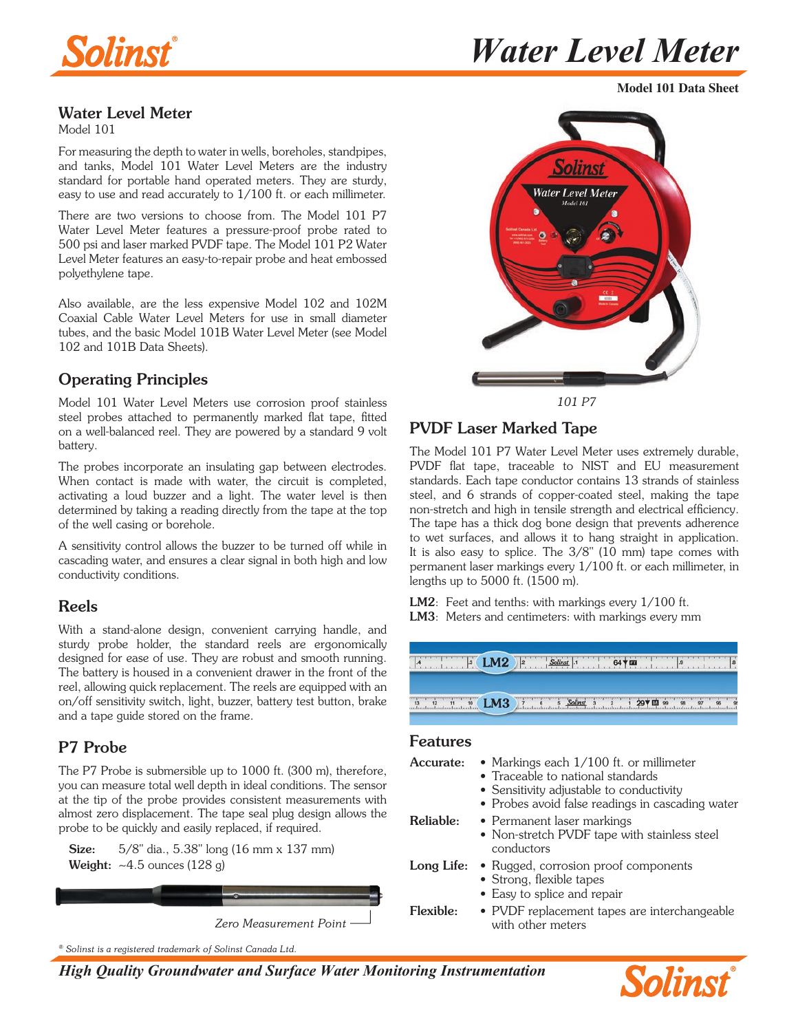

**Model 101 Data Sheet**

### Water Level Meter

Model 101

For measuring the depth to water in wells, boreholes, standpipes, and tanks, Model 101 Water Level Meters are the industry standard for portable hand operated meters. They are sturdy, easy to use and read accurately to 1/100 ft. or each millimeter.

There are two versions to choose from. The Model 101 P7 Water Level Meter features a pressure-proof probe rated to 500 psi and laser marked PVDF tape. The Model 101 P2 Water Level Meter features an easy-to-repair probe and heat embossed polyethylene tape.

Also available, are the less expensive Model 102 and 102M Coaxial Cable Water Level Meters for use in small diameter tubes, and the basic Model 101B Water Level Meter (see Model 102 and 101B Data Sheets).

## Operating Principles

Model 101 Water Level Meters use corrosion proof stainless steel probes attached to permanently marked flat tape, fitted on a well-balanced reel. They are powered by a standard 9 volt battery.

The probes incorporate an insulating gap between electrodes. When contact is made with water, the circuit is completed, activating a loud buzzer and a light. The water level is then determined by taking a reading directly from the tape at the top of the well casing or borehole.

A sensitivity control allows the buzzer to be turned off while in cascading water, and ensures a clear signal in both high and low conductivity conditions.

#### Reels

With a stand-alone design, convenient carrying handle, and sturdy probe holder, the standard reels are ergonomically designed for ease of use. They are robust and smooth running. The battery is housed in a convenient drawer in the front of the reel, allowing quick replacement. The reels are equipped with an on/off sensitivity switch, light, buzzer, battery test button, brake and a tape guide stored on the frame.

### P7 Probe

The P7 Probe is submersible up to 1000 ft. (300 m), therefore, you can measure total well depth in ideal conditions. The sensor at the tip of the probe provides consistent measurements with almost zero displacement. The tape seal plug design allows the probe to be quickly and easily replaced, if required.

**Size:** 5/8" dia., 5.38" long (16 mm x 137 mm) Weight:  $-4.5$  ounces (128 g)





PVDF Laser Marked Tape

The Model 101 P7 Water Level Meter uses extremely durable, PVDF flat tape, traceable to NIST and EU measurement standards. Each tape conductor contains 13 strands of stainless steel, and 6 strands of copper-coated steel, making the tape non-stretch and high in tensile strength and electrical efficiency. The tape has a thick dog bone design that prevents adherence to wet surfaces, and allows it to hang straight in application. It is also easy to splice. The 3/8" (10 mm) tape comes with permanent laser markings every 1/100 ft. or each millimeter, in lengths up to 5000 ft. (1500 m).

LM2: Feet and tenths: with markings every  $1/100$  ft. LM3: Meters and centimeters: with markings every mm

| $\sim$ | $-M2$ | $\mathbf{12}$<br>$\mathbf{C}$<br>m |
|--------|-------|------------------------------------|
| 10     | $-M3$ |                                    |

#### Features

| Accurate:  | • Markings each $1/100$ ft. or millimeter<br>• Traceable to national standards<br>• Sensitivity adjustable to conductivity<br>• Probes avoid false readings in cascading water |
|------------|--------------------------------------------------------------------------------------------------------------------------------------------------------------------------------|
| Reliable:  | • Permanent laser markings<br>• Non-stretch PVDF tape with stainless steel<br>conductors                                                                                       |
| Long Life: | • Rugged, corrosion proof components<br>• Strong, flexible tapes<br>• Easy to splice and repair                                                                                |
| Flexible:  | • PVDF replacement tapes are interchangeable<br>with other meters                                                                                                              |

*® Solinst is a registered trademark of Solinst Canada Ltd.*

*High Quality Groundwater and Surface Water Monitoring Instrumentation*